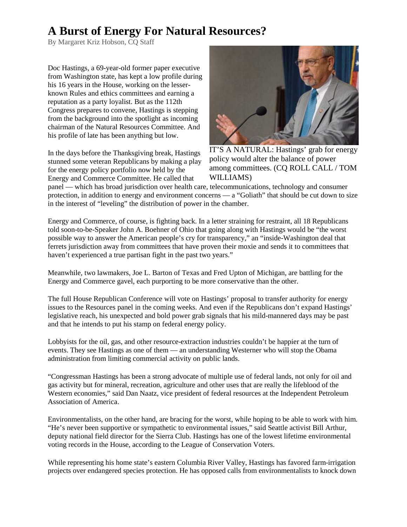## **A Burst of Energy For Natural Resources?**

By Margaret Kriz Hobson, CQ Staff

Doc Hastings, a 69-year-old former paper executive from Washington state, has kept a low profile during his 16 years in the House, working on the lesserknown Rules and ethics committees and earning a reputation as a party loyalist. But as the 112th Congress prepares to convene, Hastings is stepping from the background into the spotlight as incoming chairman of the Natural Resources Committee. And his profile of late has been anything but low.

In the days before the Thanksgiving break, Hastings stunned some veteran Republicans by making a play for the energy policy portfolio now held by the Energy and Commerce Committee. He called that



IT'S A NATURAL: Hastings' grab for energy policy would alter the balance of power among committees. (CQ ROLL CALL / TOM WILLIAMS)

panel — which has broad jurisdiction over health care, telecommunications, technology and consumer protection, in addition to energy and environment concerns  $-a$  "Goliath" that should be cut down to size in the interest of "leveling" the distribution of power in the chamber.

Energy and Commerce, of course, is fighting back. In a letter straining for restraint, all 18 Republicans told soon-to-be-Speaker John A. Boehner of Ohio that going along with Hastings would be "the worst possible way to answer the American people's cry for transparency," an "inside-Washington deal that ferrets jurisdiction away from committees that have proven their moxie and sends it to committees that haven't experienced a true partisan fight in the past two years."

Meanwhile, two lawmakers, Joe L. Barton of Texas and Fred Upton of Michigan, are battling for the Energy and Commerce gavel, each purporting to be more conservative than the other.

The full House Republican Conference will vote on Hastings' proposal to transfer authority for energy issues to the Resources panel in the coming weeks. And even if the Republicans don't expand Hastings' legislative reach, his unexpected and bold power grab signals that his mild-mannered days may be past and that he intends to put his stamp on federal energy policy.

Lobbyists for the oil, gas, and other resource-extraction industries couldn't be happier at the turn of events. They see Hastings as one of them — an understanding Westerner who will stop the Obama administration from limiting commercial activity on public lands.

"Congressman Hastings has been a strong advocate of multiple use of federal lands, not only for oil and gas activity but for mineral, recreation, agriculture and other uses that are really the lifeblood of the Western economies," said Dan Naatz, vice president of federal resources at the Independent Petroleum Association of America.

Environmentalists, on the other hand, are bracing for the worst, while hoping to be able to work with him. "He's never been supportive or sympathetic to environmental issues," said Seattle activist Bill Arthur, deputy national field director for the Sierra Club. Hastings has one of the lowest lifetime environmental voting records in the House, according to the League of Conservation Voters.

While representing his home state's eastern Columbia River Valley, Hastings has favored farm-irrigation projects over endangered species protection. He has opposed calls from environmentalists to knock down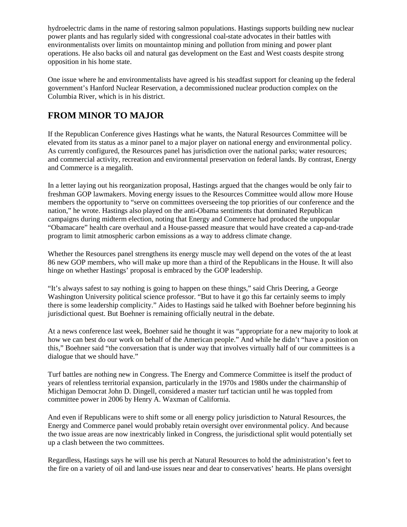hydroelectric dams in the name of restoring salmon populations. Hastings supports building new nuclear power plants and has regularly sided with congressional coal-state advocates in their battles with environmentalists over limits on mountaintop mining and pollution from mining and power plant operations. He also backs oil and natural gas development on the East and West coasts despite strong opposition in his home state.

One issue where he and environmentalists have agreed is his steadfast support for cleaning up the federal government's Hanford Nuclear Reservation, a decommissioned nuclear production complex on the Columbia River, which is in his district.

## **FROM MINOR TO MAJOR**

If the Republican Conference gives Hastings what he wants, the Natural Resources Committee will be elevated from its status as a minor panel to a major player on national energy and environmental policy. As currently configured, the Resources panel has jurisdiction over the national parks; water resources; and commercial activity, recreation and environmental preservation on federal lands. By contrast, Energy and Commerce is a megalith.

In a letter laying out his reorganization proposal, Hastings argued that the changes would be only fair to freshman GOP lawmakers. Moving energy issues to the Resources Committee would allow more House members the opportunity to "serve on committees overseeing the top priorities of our conference and the nation," he wrote. Hastings also played on the anti-Obama sentiments that dominated Republican campaigns during midterm election, noting that Energy and Commerce had produced the unpopular "Obamacare" health care overhaul and a House-passed measure that would have created a cap-and-trade program to limit atmospheric carbon emissions as a way to address climate change.

Whether the Resources panel strengthens its energy muscle may well depend on the votes of the at least 86 new GOP members, who will make up more than a third of the Republicans in the House. It will also hinge on whether Hastings' proposal is embraced by the GOP leadership.

"It's always safest to say nothing is going to happen on these things," said Chris Deering, a George Washington University political science professor. "But to have it go this far certainly seems to imply there is some leadership complicity." Aides to Hastings said he talked with Boehner before beginning his jurisdictional quest. But Boehner is remaining officially neutral in the debate.

At a news conference last week, Boehner said he thought it was "appropriate for a new majority to look at how we can best do our work on behalf of the American people." And while he didn't "have a position on this," Boehner said "the conversation that is under way that involves virtually half of our committees is a dialogue that we should have."

Turf battles are nothing new in Congress. The Energy and Commerce Committee is itself the product of years of relentless territorial expansion, particularly in the 1970s and 1980s under the chairmanship of Michigan Democrat John D. Dingell, considered a master turf tactician until he was toppled from committee power in 2006 by Henry A. Waxman of California.

And even if Republicans were to shift some or all energy policy jurisdiction to Natural Resources, the Energy and Commerce panel would probably retain oversight over environmental policy. And because the two issue areas are now inextricably linked in Congress, the jurisdictional split would potentially set up a clash between the two committees.

Regardless, Hastings says he will use his perch at Natural Resources to hold the administration's feet to the fire on a variety of oil and land-use issues near and dear to conservatives' hearts. He plans oversight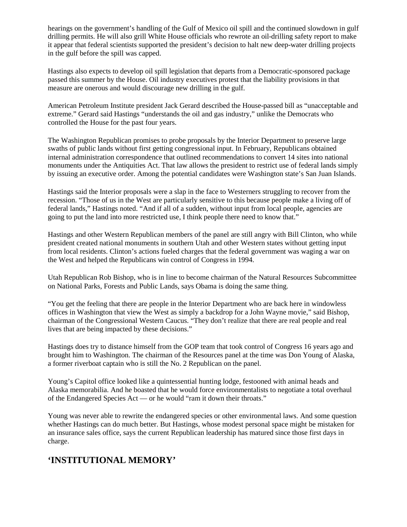hearings on the government's handling of the Gulf of Mexico oil spill and the continued slowdown in gulf drilling permits. He will also grill White House officials who rewrote an oil-drilling safety report to make it appear that federal scientists supported the president's decision to halt new deep-water drilling projects in the gulf before the spill was capped.

Hastings also expects to develop oil spill legislation that departs from a Democratic-sponsored package passed this summer by the House. Oil industry executives protest that the liability provisions in that measure are onerous and would discourage new drilling in the gulf.

American Petroleum Institute president Jack Gerard described the House-passed bill as "unacceptable and extreme." Gerard said Hastings "understands the oil and gas industry," unlike the Democrats who controlled the House for the past four years.

The Washington Republican promises to probe proposals by the Interior Department to preserve large swaths of public lands without first getting congressional input. In February, Republicans obtained internal administration correspondence that outlined recommendations to convert 14 sites into national monuments under the Antiquities Act. That law allows the president to restrict use of federal lands simply by issuing an executive order. Among the potential candidates were Washington state's San Juan Islands.

Hastings said the Interior proposals were a slap in the face to Westerners struggling to recover from the recession. "Those of us in the West are particularly sensitive to this because people make a living off of federal lands," Hastings noted. "And if all of a sudden, without input from local people, agencies are going to put the land into more restricted use, I think people there need to know that."

Hastings and other Western Republican members of the panel are still angry with Bill Clinton, who while president created national monuments in southern Utah and other Western states without getting input from local residents. Clinton's actions fueled charges that the federal government was waging a war on the West and helped the Republicans win control of Congress in 1994.

Utah Republican Rob Bishop, who is in line to become chairman of the Natural Resources Subcommittee on National Parks, Forests and Public Lands, says Obama is doing the same thing.

"You get the feeling that there are people in the Interior Department who are back here in windowless offices in Washington that view the West as simply a backdrop for a John Wayne movie," said Bishop, chairman of the Congressional Western Caucus. "They don't realize that there are real people and real lives that are being impacted by these decisions."

Hastings does try to distance himself from the GOP team that took control of Congress 16 years ago and brought him to Washington. The chairman of the Resources panel at the time was Don Young of Alaska, a former riverboat captain who is still the No. 2 Republican on the panel.

Young's Capitol office looked like a quintessential hunting lodge, festooned with animal heads and Alaska memorabilia. And he boasted that he would force environmentalists to negotiate a total overhaul of the Endangered Species Act — or he would "ram it down their throats."

Young was never able to rewrite the endangered species or other environmental laws. And some question whether Hastings can do much better. But Hastings, whose modest personal space might be mistaken for an insurance sales office, says the current Republican leadership has matured since those first days in charge.

## **'INSTITUTIONAL MEMORY'**